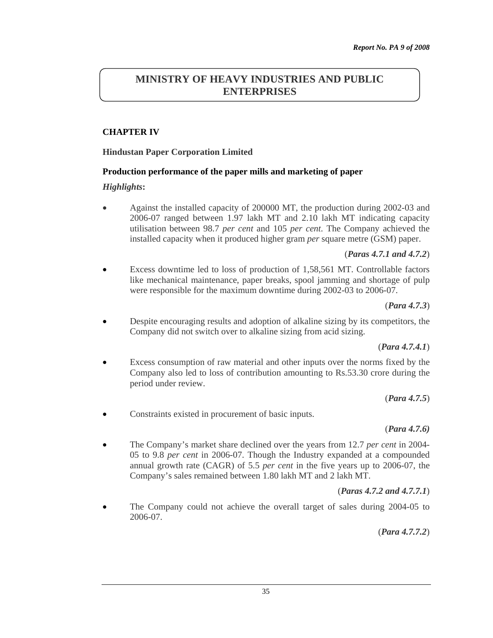# **MINISTRY OF HEAVY INDUSTRIES AND PUBLIC ENTERPRISES**

### **CHAPTER IV**

#### **Hindustan Paper Corporation Limited**

#### **Production performance of the paper mills and marketing of paper**

#### *Highlights***:**

• Against the installed capacity of 200000 MT, the production during 2002-03 and 2006-07 ranged between 1.97 lakh MT and 2.10 lakh MT indicating capacity utilisation between 98.7 *per cent* and 105 *per cent*. The Company achieved the installed capacity when it produced higher gram *per* square metre (GSM) paper.

#### (*Paras 4.7.1 and 4.7.2*)

• Excess downtime led to loss of production of 1,58,561 MT. Controllable factors like mechanical maintenance, paper breaks, spool jamming and shortage of pulp were responsible for the maximum downtime during 2002-03 to 2006-07.

(*Para 4.7.3*)

• Despite encouraging results and adoption of alkaline sizing by its competitors, the Company did not switch over to alkaline sizing from acid sizing.

#### (*Para 4.7.4.1*)

Excess consumption of raw material and other inputs over the norms fixed by the Company also led to loss of contribution amounting to Rs.53.30 crore during the period under review.

(*Para 4.7.5*)

• Constraints existed in procurement of basic inputs.

#### (*Para 4.7.6)*

• The Company's market share declined over the years from 12.7 *per cent* in 2004- 05 to 9.8 *per cent* in 2006-07. Though the Industry expanded at a compounded annual growth rate (CAGR) of 5.5 *per cent* in the five years up to 2006-07, the Company's sales remained between 1.80 lakh MT and 2 lakh MT.

### (*Paras 4.7.2 and 4.7.7.1*)

• The Company could not achieve the overall target of sales during 2004-05 to 2006-07.

(*Para 4.7.7.2*)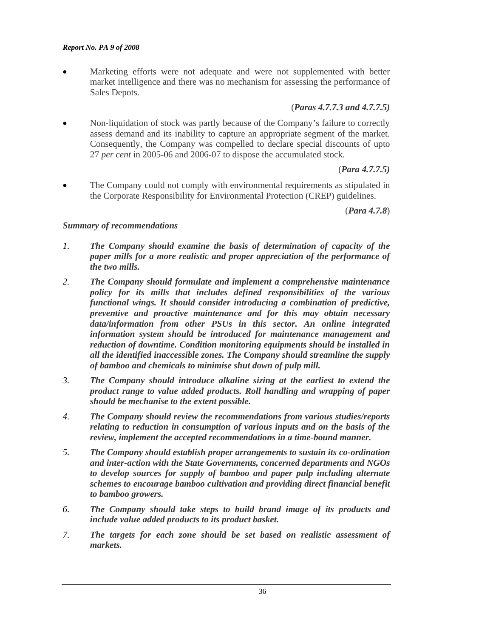Marketing efforts were not adequate and were not supplemented with better market intelligence and there was no mechanism for assessing the performance of Sales Depots.

#### (*Paras 4.7.7.3 and 4.7.7.5)*

• Non-liquidation of stock was partly because of the Company's failure to correctly assess demand and its inability to capture an appropriate segment of the market. Consequently, the Company was compelled to declare special discounts of upto 27 *per cent* in 2005-06 and 2006-07 to dispose the accumulated stock.

#### (*Para 4.7.7.5)*

The Company could not comply with environmental requirements as stipulated in the Corporate Responsibility for Environmental Protection (CREP) guidelines.

(*Para 4.7.8*)

#### *Summary of recommendations*

- *1. The Company should examine the basis of determination of capacity of the paper mills for a more realistic and proper appreciation of the performance of the two mills.*
- *2. The Company should formulate and implement a comprehensive maintenance policy for its mills that includes defined responsibilities of the various functional wings. It should consider introducing a combination of predictive, preventive and proactive maintenance and for this may obtain necessary data/information from other PSUs in this sector. An online integrated information system should be introduced for maintenance management and reduction of downtime. Condition monitoring equipments should be installed in all the identified inaccessible zones. The Company should streamline the supply of bamboo and chemicals to minimise shut down of pulp mill.*
- *3. The Company should introduce alkaline sizing at the earliest to extend the product range to value added products. Roll handling and wrapping of paper should be mechanise to the extent possible.*
- *4. The Company should review the recommendations from various studies/reports relating to reduction in consumption of various inputs and on the basis of the review, implement the accepted recommendations in a time-bound manner.*
- *5. The Company should establish proper arrangements to sustain its co-ordination and inter-action with the State Governments, concerned departments and NGOs to develop sources for supply of bamboo and paper pulp including alternate schemes to encourage bamboo cultivation and providing direct financial benefit to bamboo growers.*
- *6. The Company should take steps to build brand image of its products and include value added products to its product basket.*
- *7. The targets for each zone should be set based on realistic assessment of markets.*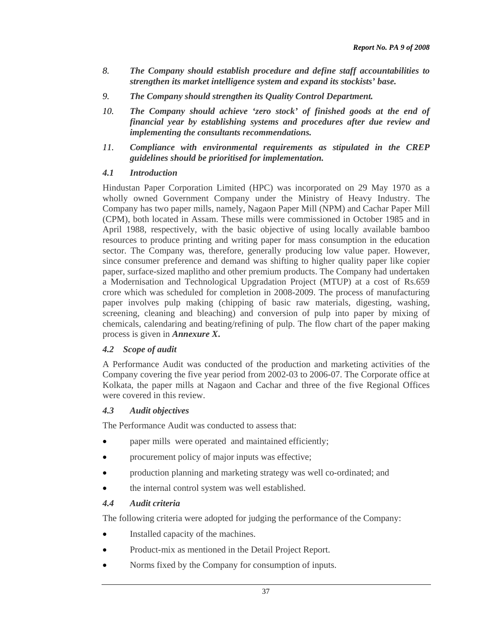- *8. The Company should establish procedure and define staff accountabilities to strengthen its market intelligence system and expand its stockists' base.*
- *9. The Company should strengthen its Quality Control Department.*
- *10. The Company should achieve 'zero stock' of finished goods at the end of financial year by establishing systems and procedures after due review and implementing the consultants recommendations.*
- *11. Compliance with environmental requirements as stipulated in the CREP guidelines should be prioritised for implementation.*

#### *4.1 Introduction*

Hindustan Paper Corporation Limited (HPC) was incorporated on 29 May 1970 as a wholly owned Government Company under the Ministry of Heavy Industry. The Company has two paper mills, namely, Nagaon Paper Mill (NPM) and Cachar Paper Mill (CPM), both located in Assam. These mills were commissioned in October 1985 and in April 1988, respectively, with the basic objective of using locally available bamboo resources to produce printing and writing paper for mass consumption in the education sector. The Company was, therefore, generally producing low value paper. However, since consumer preference and demand was shifting to higher quality paper like copier paper, surface-sized maplitho and other premium products. The Company had undertaken a Modernisation and Technological Upgradation Project (MTUP) at a cost of Rs.659 crore which was scheduled for completion in 2008-2009. The process of manufacturing paper involves pulp making (chipping of basic raw materials, digesting, washing, screening, cleaning and bleaching) and conversion of pulp into paper by mixing of chemicals, calendaring and beating/refining of pulp. The flow chart of the paper making process is given in *Annexure X***.** 

### *4.2 Scope of audit*

A Performance Audit was conducted of the production and marketing activities of the Company covering the five year period from 2002-03 to 2006-07. The Corporate office at Kolkata, the paper mills at Nagaon and Cachar and three of the five Regional Offices were covered in this review.

#### *4.3 Audit objectives*

The Performance Audit was conducted to assess that:

- paper mills were operated and maintained efficiently;
- procurement policy of major inputs was effective;
- production planning and marketing strategy was well co-ordinated; and
- the internal control system was well established.

### *4.4 Audit criteria*

The following criteria were adopted for judging the performance of the Company:

- Installed capacity of the machines.
- Product-mix as mentioned in the Detail Project Report.
- Norms fixed by the Company for consumption of inputs.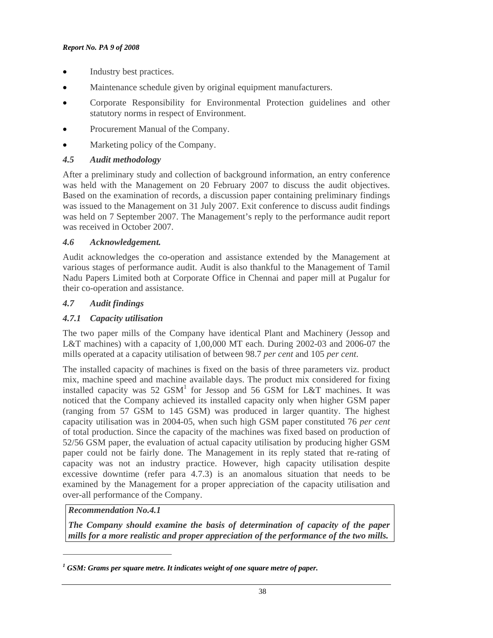- Industry best practices.
- Maintenance schedule given by original equipment manufacturers.
- Corporate Responsibility for Environmental Protection guidelines and other statutory norms in respect of Environment.
- Procurement Manual of the Company.
- Marketing policy of the Company.

# *4.5 Audit methodology*

After a preliminary study and collection of background information, an entry conference was held with the Management on 20 February 2007 to discuss the audit objectives. Based on the examination of records, a discussion paper containing preliminary findings was issued to the Management on 31 July 2007. Exit conference to discuss audit findings was held on 7 September 2007. The Management's reply to the performance audit report was received in October 2007.

# *4.6 Acknowledgement.*

Audit acknowledges the co-operation and assistance extended by the Management at various stages of performance audit. Audit is also thankful to the Management of Tamil Nadu Papers Limited both at Corporate Office in Chennai and paper mill at Pugalur for their co-operation and assistance.

# *4.7 Audit findings*

# *4.7.1 Capacity utilisation*

The two paper mills of the Company have identical Plant and Machinery (Jessop and L&T machines) with a capacity of 1,00,000 MT each. During 2002-03 and 2006-07 the mills operated at a capacity utilisation of between 98.7 *per cent* and 105 *per cent*.

The installed capacity of machines is fixed on the basis of three parameters viz. product mix, machine speed and machine available days. The product mix considered for fixing installed capacity was 52  $GSM<sup>1</sup>$  for Jessop and 56  $GSM$  for L&T machines. It was noticed that the Company achieved its installed capacity only when higher GSM paper (ranging from 57 GSM to 145 GSM) was produced in larger quantity. The highest capacity utilisation was in 2004-05, when such high GSM paper constituted 76 *per cent* of total production. Since the capacity of the machines was fixed based on production of 52/56 GSM paper, the evaluation of actual capacity utilisation by producing higher GSM paper could not be fairly done. The Management in its reply stated that re-rating of capacity was not an industry practice. However, high capacity utilisation despite excessive downtime (refer para 4.7.3) is an anomalous situation that needs to be examined by the Management for a proper appreciation of the capacity utilisation and over-all performance of the Company.

*Recommendation No.4.1* 

 $\overline{a}$ 

*The Company should examine the basis of determination of capacity of the paper mills for a more realistic and proper appreciation of the performance of the two mills.* 

<sup>&</sup>lt;sup>1</sup> GSM: Grams per square metre. It indicates weight of one square metre of paper.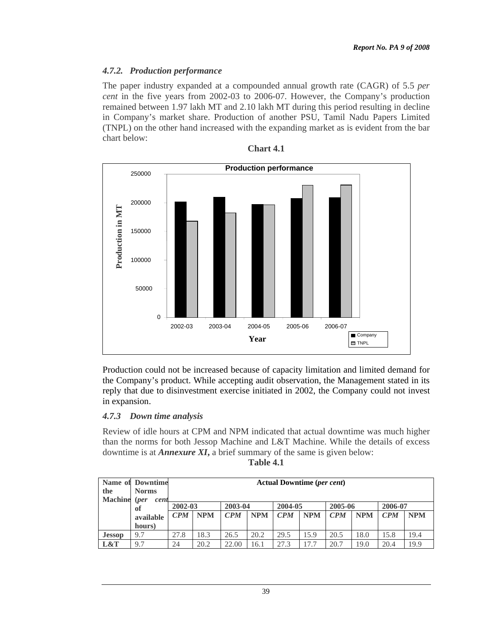### *4.7.2. Production performance*

The paper industry expanded at a compounded annual growth rate (CAGR) of 5.5 *per cent* in the five years from 2002-03 to 2006-07. However, the Company's production remained between 1.97 lakh MT and 2.10 lakh MT during this period resulting in decline in Company's market share. Production of another PSU, Tamil Nadu Papers Limited (TNPL) on the other hand increased with the expanding market as is evident from the bar chart below:



Production could not be increased because of capacity limitation and limited demand for the Company's product. While accepting audit observation, the Management stated in its reply that due to disinvestment exercise initiated in 2002, the Company could not invest in expansion.

### *4.7.3 Down time analysis*

Review of idle hours at CPM and NPM indicated that actual downtime was much higher than the norms for both Jessop Machine and L&T Machine. While the details of excess downtime is at *Annexure XI***,** a brief summary of the same is given below:

| ян<br>ю<br>. . |
|----------------|
|----------------|

| the            | <b>Name of Downtime</b><br><b>Norms</b> | <b>Actual Downtime (per cent)</b>                |      |                              |      |                                                  |      |                                                  |      |                              |      |
|----------------|-----------------------------------------|--------------------------------------------------|------|------------------------------|------|--------------------------------------------------|------|--------------------------------------------------|------|------------------------------|------|
| <b>Machine</b> | (per<br>cent<br>оf                      | 2002-03<br><b>NPM</b><br>$\mathbf{C}P\mathbf{M}$ |      | 2003-04<br><b>NPM</b><br>CPM |      | 2004-05<br>$\mathbf{C}P\mathbf{M}$<br><b>NPM</b> |      | 2005-06<br><b>NPM</b><br>$\mathbf{C}P\mathbf{M}$ |      | 2006-07<br><b>NPM</b><br>CPM |      |
|                | available<br>hours)                     |                                                  |      |                              |      |                                                  |      |                                                  |      |                              |      |
| <b>Jessop</b>  | 9.7                                     | 27.8                                             | 18.3 | 26.5                         | 20.2 | 29.5                                             | 15.9 | 20.5                                             | 18.0 | 15.8                         | 19.4 |
| L&T            | 9.7                                     | 24                                               | 20.2 | 22.00                        | 16.1 | 27.3                                             | 17.7 | 20.7                                             | 19.0 | 20.4                         | 19.9 |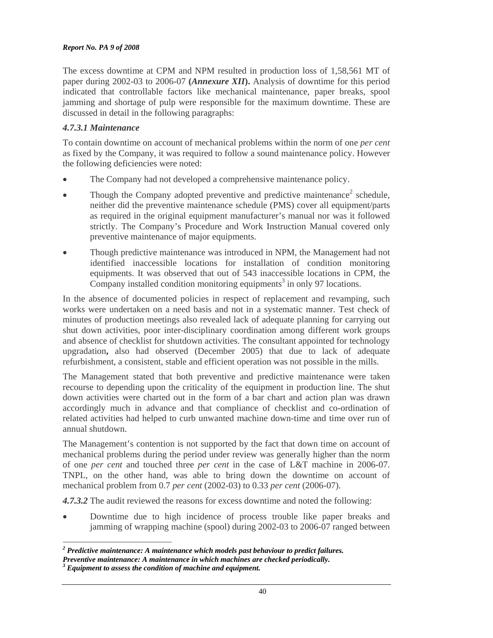The excess downtime at CPM and NPM resulted in production loss of 1,58,561 MT of paper during 2002-03 to 2006-07 **(***Annexure XII***).** Analysis of downtime for this period indicated that controllable factors like mechanical maintenance, paper breaks, spool jamming and shortage of pulp were responsible for the maximum downtime. These are discussed in detail in the following paragraphs:

## *4.7.3.1 Maintenance*

To contain downtime on account of mechanical problems within the norm of one *per cent* as fixed by the Company, it was required to follow a sound maintenance policy. However the following deficiencies were noted:

- The Company had not developed a comprehensive maintenance policy.
- Though the Company adopted preventive and predictive maintenance<sup>2</sup> schedule, neither did the preventive maintenance schedule (PMS) cover all equipment/parts as required in the original equipment manufacturer's manual nor was it followed strictly. The Company's Procedure and Work Instruction Manual covered only preventive maintenance of major equipments.
- Though predictive maintenance was introduced in NPM, the Management had not identified inaccessible locations for installation of condition monitoring equipments. It was observed that out of 543 inaccessible locations in CPM, the  $\widehat{\text{Comparing}}$  installed condition monitoring equipments<sup>3</sup> in only 97 locations.

In the absence of documented policies in respect of replacement and revamping, such works were undertaken on a need basis and not in a systematic manner. Test check of minutes of production meetings also revealed lack of adequate planning for carrying out shut down activities, poor inter-disciplinary coordination among different work groups and absence of checklist for shutdown activities. The consultant appointed for technology upgradation**,** also had observed (December 2005) that due to lack of adequate refurbishment, a consistent, stable and efficient operation was not possible in the mills.

The Management stated that both preventive and predictive maintenance were taken recourse to depending upon the criticality of the equipment in production line. The shut down activities were charted out in the form of a bar chart and action plan was drawn accordingly much in advance and that compliance of checklist and co-ordination of related activities had helped to curb unwanted machine down-time and time over run of annual shutdown.

The Management's contention is not supported by the fact that down time on account of mechanical problems during the period under review was generally higher than the norm of one *per cent* and touched three *per cent* in the case of L&T machine in 2006-07. TNPL, on the other hand, was able to bring down the downtime on account of mechanical problem from 0.7 *per cent* (2002-03) to 0.33 *per cent* (2006-07).

*4.7.3.2* The audit reviewed the reasons for excess downtime and noted the following:

• Downtime due to high incidence of process trouble like paper breaks and jamming of wrapping machine (spool) during 2002-03 to 2006-07 ranged between

 *2 Predictive maintenance: A maintenance which models past behaviour to predict failures.* 

*Preventive maintenance: A maintenance in which machines are checked periodically.* 

*Equipment to assess the condition of machine and equipment.*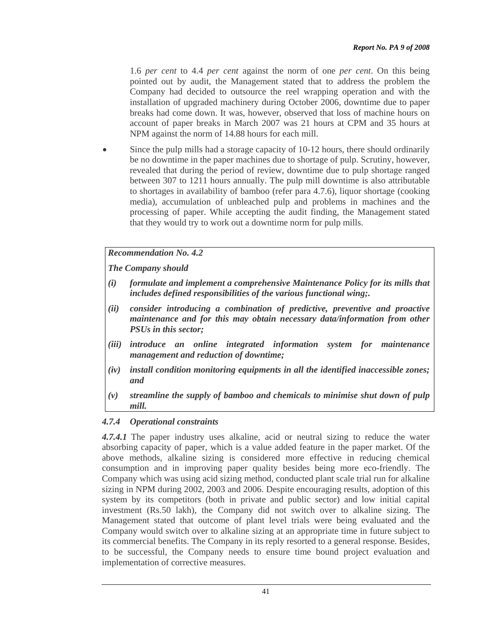1.6 *per cent* to 4.4 *per cent* against the norm of one *per cent*. On this being pointed out by audit, the Management stated that to address the problem the Company had decided to outsource the reel wrapping operation and with the installation of upgraded machinery during October 2006, downtime due to paper breaks had come down. It was, however, observed that loss of machine hours on account of paper breaks in March 2007 was 21 hours at CPM and 35 hours at NPM against the norm of 14.88 hours for each mill.

Since the pulp mills had a storage capacity of 10-12 hours, there should ordinarily be no downtime in the paper machines due to shortage of pulp. Scrutiny, however, revealed that during the period of review, downtime due to pulp shortage ranged between 307 to 1211 hours annually. The pulp mill downtime is also attributable to shortages in availability of bamboo (refer para 4.7.6), liquor shortage (cooking media), accumulation of unbleached pulp and problems in machines and the processing of paper. While accepting the audit finding, the Management stated that they would try to work out a downtime norm for pulp mills.

### *Recommendation No. 4.2*

*The Company should* 

- *(i) formulate and implement a comprehensive Maintenance Policy for its mills that includes defined responsibilities of the various functional wing;.*
- *(ii) consider introducing a combination of predictive, preventive and proactive maintenance and for this may obtain necessary data/information from other PSUs in this sector;*
- *(iii) introduce an online integrated information system for maintenance management and reduction of downtime;*
- *(iv) install condition monitoring equipments in all the identified inaccessible zones; and*
- *(v) streamline the supply of bamboo and chemicals to minimise shut down of pulp mill.*

### *4.7.4 Operational constraints*

*4.7.4.1* The paper industry uses alkaline, acid or neutral sizing to reduce the water absorbing capacity of paper, which is a value added feature in the paper market. Of the above methods, alkaline sizing is considered more effective in reducing chemical consumption and in improving paper quality besides being more eco-friendly. The Company which was using acid sizing method, conducted plant scale trial run for alkaline sizing in NPM during 2002, 2003 and 2006. Despite encouraging results, adoption of this system by its competitors (both in private and public sector) and low initial capital investment (Rs.50 lakh), the Company did not switch over to alkaline sizing. The Management stated that outcome of plant level trials were being evaluated and the Company would switch over to alkaline sizing at an appropriate time in future subject to its commercial benefits. The Company in its reply resorted to a general response. Besides, to be successful, the Company needs to ensure time bound project evaluation and implementation of corrective measures.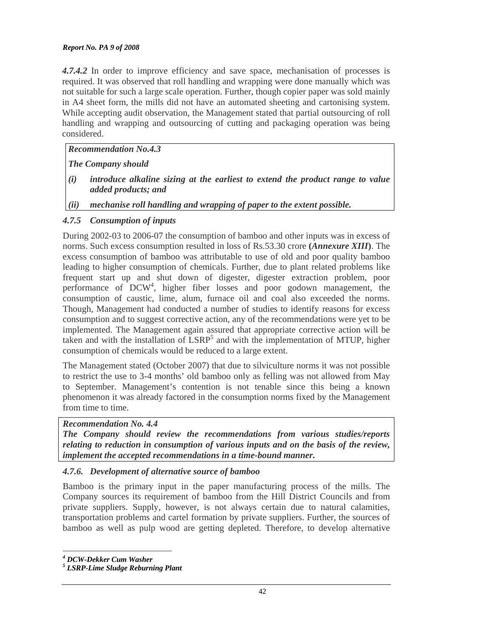*4.7.4.2* In order to improve efficiency and save space, mechanisation of processes is required. It was observed that roll handling and wrapping were done manually which was not suitable for such a large scale operation. Further, though copier paper was sold mainly in A4 sheet form, the mills did not have an automated sheeting and cartonising system. While accepting audit observation, the Management stated that partial outsourcing of roll handling and wrapping and outsourcing of cutting and packaging operation was being considered.

## *Recommendation No.4.3*

*The Company should* 

- *(i) introduce alkaline sizing at the earliest to extend the product range to value added products; and*
- *(ii) mechanise roll handling and wrapping of paper to the extent possible.*

# *4.7.5 Consumption of inputs*

During 2002-03 to 2006-07 the consumption of bamboo and other inputs was in excess of norms. Such excess consumption resulted in loss of Rs.53.30 crore **(***Annexure XIII***)**. The excess consumption of bamboo was attributable to use of old and poor quality bamboo leading to higher consumption of chemicals. Further, due to plant related problems like frequent start up and shut down of digester, digester extraction problem, poor performance of DCW<sup>4</sup>, higher fiber losses and poor godown management, the consumption of caustic, lime, alum, furnace oil and coal also exceeded the norms. Though, Management had conducted a number of studies to identify reasons for excess consumption and to suggest corrective action, any of the recommendations were yet to be implemented. The Management again assured that appropriate corrective action will be taken and with the installation of  $LSRP<sup>5</sup>$  and with the implementation of MTUP, higher consumption of chemicals would be reduced to a large extent.

The Management stated (October 2007) that due to silviculture norms it was not possible to restrict the use to 3-4 months' old bamboo only as felling was not allowed from May to September. Management's contention is not tenable since this being a known phenomenon it was already factored in the consumption norms fixed by the Management from time to time.

### *Recommendation No. 4.4*

*The Company should review the recommendations from various studies/reports relating to reduction in consumption of various inputs and on the basis of the review, implement the accepted recommendations in a time-bound manner.* 

# *4.7.6. Development of alternative source of bamboo*

Bamboo is the primary input in the paper manufacturing process of the mills. The Company sources its requirement of bamboo from the Hill District Councils and from private suppliers. Supply, however, is not always certain due to natural calamities, transportation problems and cartel formation by private suppliers. Further, the sources of bamboo as well as pulp wood are getting depleted. Therefore, to develop alternative

 $\overline{a}$ *4 DCW-Dekker Cum Washer* 

*<sup>5</sup> LSRP-Lime Sludge Reburning Plant*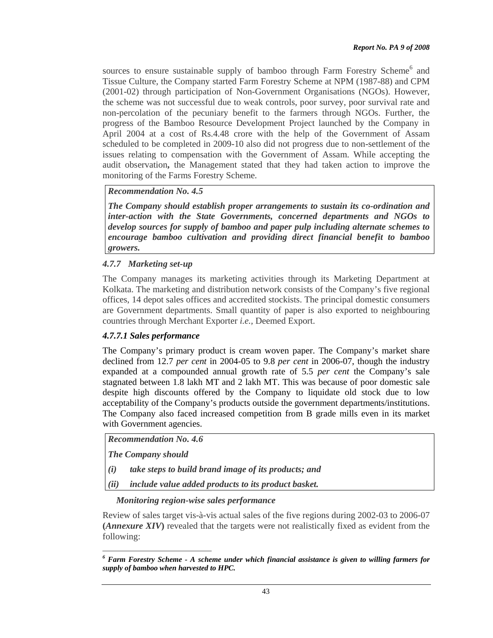sources to ensure sustainable supply of bamboo through Farm Forestry Scheme<sup>6</sup> and Tissue Culture, the Company started Farm Forestry Scheme at NPM (1987-88) and CPM (2001-02) through participation of Non-Government Organisations (NGOs). However, the scheme was not successful due to weak controls, poor survey, poor survival rate and non-percolation of the pecuniary benefit to the farmers through NGOs. Further, the progress of the Bamboo Resource Development Project launched by the Company in April 2004 at a cost of Rs.4.48 crore with the help of the Government of Assam scheduled to be completed in 2009-10 also did not progress due to non-settlement of the issues relating to compensation with the Government of Assam. While accepting the audit observation**,** the Management stated that they had taken action to improve the monitoring of the Farms Forestry Scheme.

*Recommendation No. 4.5* 

*The Company should establish proper arrangements to sustain its co-ordination and inter-action with the State Governments, concerned departments and NGOs to develop sources for supply of bamboo and paper pulp including alternate schemes to encourage bamboo cultivation and providing direct financial benefit to bamboo growers.* 

*4.7.7 Marketing set-up*

The Company manages its marketing activities through its Marketing Department at Kolkata. The marketing and distribution network consists of the Company's five regional offices, 14 depot sales offices and accredited stockists. The principal domestic consumers are Government departments. Small quantity of paper is also exported to neighbouring countries through Merchant Exporter *i.e.,* Deemed Export.

# *4.7.7.1 Sales performance*

The Company's primary product is cream woven paper. The Company's market share declined from 12.7 *per cent* in 2004-05 to 9.8 *per cent* in 2006-07, though the industry expanded at a compounded annual growth rate of 5.5 *per cent* the Company's sale stagnated between 1.8 lakh MT and 2 lakh MT. This was because of poor domestic sale despite high discounts offered by the Company to liquidate old stock due to low acceptability of the Company's products outside the government departments/institutions. The Company also faced increased competition from B grade mills even in its market with Government agencies.

*Recommendation No. 4.6* 

*The Company should* 

- *(i) take steps to build brand image of its products; and*
- *(ii) include value added products to its product basket.*

### *Monitoring region-wise sales performance*

Review of sales target vis-à-vis actual sales of the five regions during 2002-03 to 2006-07 **(***Annexure XIV***)** revealed that the targets were not realistically fixed as evident from the following:

 $\overline{a}$ <sup>6</sup> Farm Forestry Scheme - A scheme under which financial assistance is given to willing farmers for *supply of bamboo when harvested to HPC.*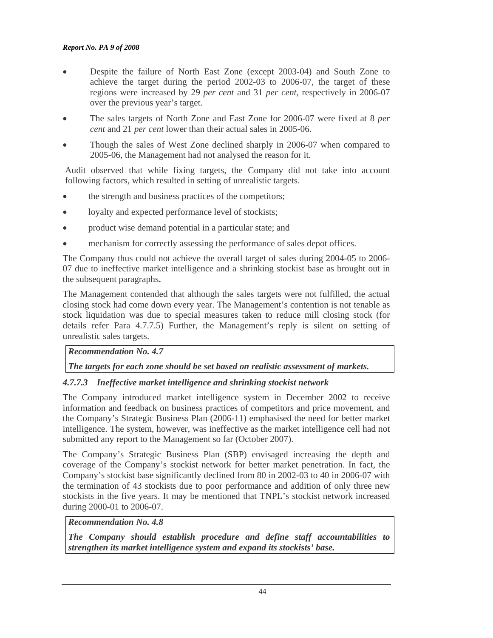- Despite the failure of North East Zone (except 2003-04) and South Zone to achieve the target during the period 2002-03 to 2006-07, the target of these regions were increased by 29 *per cent* and 31 *per cent,* respectively in 2006-07 over the previous year's target.
- The sales targets of North Zone and East Zone for 2006-07 were fixed at 8 *per cent* and 21 *per cent* lower than their actual sales in 2005-06.
- Though the sales of West Zone declined sharply in 2006-07 when compared to 2005-06, the Management had not analysed the reason for it.

Audit observed that while fixing targets, the Company did not take into account following factors, which resulted in setting of unrealistic targets.

- the strength and business practices of the competitors;
- loyalty and expected performance level of stockists;
- product wise demand potential in a particular state; and
- mechanism for correctly assessing the performance of sales depot offices.

The Company thus could not achieve the overall target of sales during 2004-05 to 2006- 07 due to ineffective market intelligence and a shrinking stockist base as brought out in the subsequent paragraphs**.** 

The Management contended that although the sales targets were not fulfilled, the actual closing stock had come down every year. The Management's contention is not tenable as stock liquidation was due to special measures taken to reduce mill closing stock (for details refer Para 4.7.7.5) Further, the Management's reply is silent on setting of unrealistic sales targets.

### *Recommendation No. 4.7*

# *The targets for each zone should be set based on realistic assessment of markets.*

### *4.7.7.3 Ineffective market intelligence and shrinking stockist network*

The Company introduced market intelligence system in December 2002 to receive information and feedback on business practices of competitors and price movement, and the Company's Strategic Business Plan (2006-11) emphasised the need for better market intelligence. The system, however, was ineffective as the market intelligence cell had not submitted any report to the Management so far (October 2007).

The Company's Strategic Business Plan (SBP) envisaged increasing the depth and coverage of the Company's stockist network for better market penetration. In fact, the Company's stockist base significantly declined from 80 in 2002-03 to 40 in 2006-07 with the termination of 43 stockists due to poor performance and addition of only three new stockists in the five years. It may be mentioned that TNPL's stockist network increased during 2000-01 to 2006-07.

### *Recommendation No. 4.8*

*The Company should establish procedure and define staff accountabilities to strengthen its market intelligence system and expand its stockists' base.*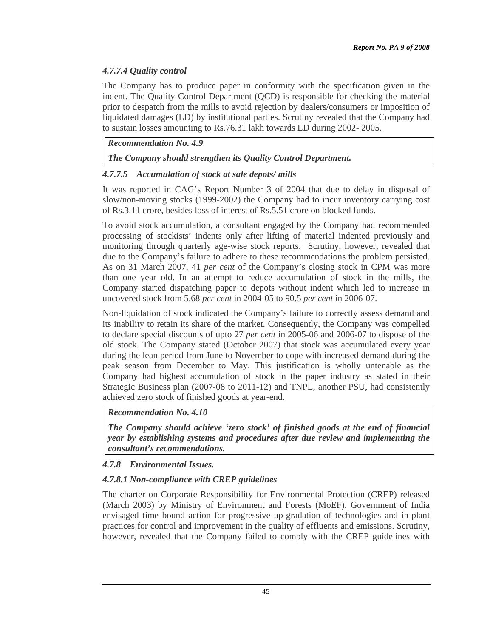# *4.7.7.4 Quality control*

The Company has to produce paper in conformity with the specification given in the indent. The Quality Control Department (QCD) is responsible for checking the material prior to despatch from the mills to avoid rejection by dealers/consumers or imposition of liquidated damages (LD) by institutional parties. Scrutiny revealed that the Company had to sustain losses amounting to Rs.76.31 lakh towards LD during 2002- 2005.

# *Recommendation No. 4.9*

# *The Company should strengthen its Quality Control Department.*

# *4.7.7.5 Accumulation of stock at sale depots/ mills*

It was reported in CAG's Report Number 3 of 2004 that due to delay in disposal of slow/non-moving stocks (1999-2002) the Company had to incur inventory carrying cost of Rs.3.11 crore, besides loss of interest of Rs.5.51 crore on blocked funds.

To avoid stock accumulation, a consultant engaged by the Company had recommended processing of stockists' indents only after lifting of material indented previously and monitoring through quarterly age-wise stock reports. Scrutiny, however, revealed that due to the Company's failure to adhere to these recommendations the problem persisted. As on 31 March 2007, 41 *per cent* of the Company's closing stock in CPM was more than one year old. In an attempt to reduce accumulation of stock in the mills, the Company started dispatching paper to depots without indent which led to increase in uncovered stock from 5.68 *per cent* in 2004-05 to 90.5 *per cent* in 2006-07.

Non-liquidation of stock indicated the Company's failure to correctly assess demand and its inability to retain its share of the market. Consequently, the Company was compelled to declare special discounts of upto 27 *per cent* in 2005-06 and 2006-07 to dispose of the old stock. The Company stated (October 2007) that stock was accumulated every year during the lean period from June to November to cope with increased demand during the peak season from December to May. This justification is wholly untenable as the Company had highest accumulation of stock in the paper industry as stated in their Strategic Business plan (2007-08 to 2011-12) and TNPL, another PSU, had consistently achieved zero stock of finished goods at year-end.

*Recommendation No. 4.10* 

*The Company should achieve 'zero stock' of finished goods at the end of financial year by establishing systems and procedures after due review and implementing the consultant's recommendations.* 

# *4.7.8 Environmental Issues.*

# *4.7.8.1 Non-compliance with CREP guidelines*

The charter on Corporate Responsibility for Environmental Protection (CREP) released (March 2003) by Ministry of Environment and Forests (MoEF), Government of India envisaged time bound action for progressive up-gradation of technologies and in-plant practices for control and improvement in the quality of effluents and emissions. Scrutiny, however, revealed that the Company failed to comply with the CREP guidelines with